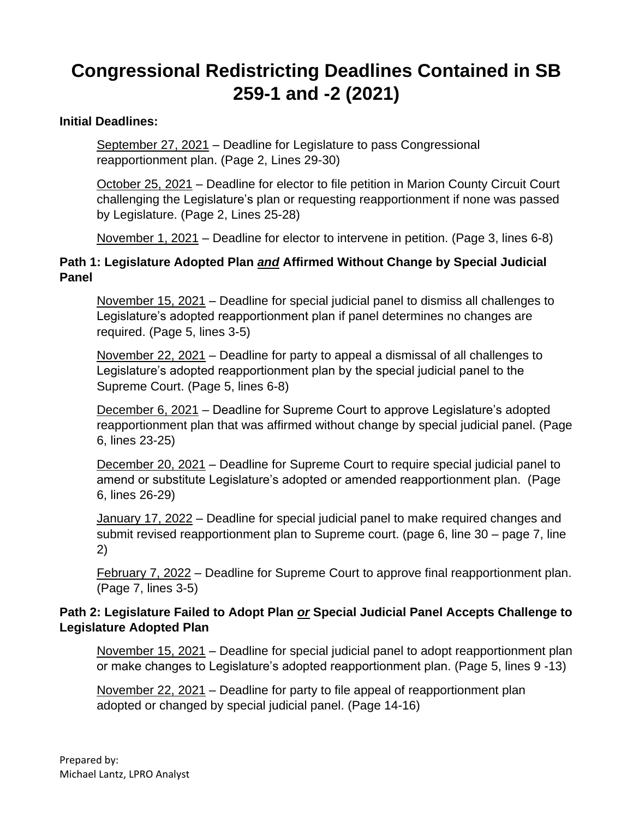## **Congressional Redistricting Deadlines Contained in SB 259-1 and -2 (2021)**

## **Initial Deadlines:**

September 27, 2021 – Deadline for Legislature to pass Congressional reapportionment plan. (Page 2, Lines 29-30)

October 25, 2021 – Deadline for elector to file petition in Marion County Circuit Court challenging the Legislature's plan or requesting reapportionment if none was passed by Legislature. (Page 2, Lines 25-28)

November 1, 2021 – Deadline for elector to intervene in petition. (Page 3, lines 6-8)

## **Path 1: Legislature Adopted Plan** *and* **Affirmed Without Change by Special Judicial Panel**

November 15, 2021 – Deadline for special judicial panel to dismiss all challenges to Legislature's adopted reapportionment plan if panel determines no changes are required. (Page 5, lines 3-5)

November 22, 2021 – Deadline for party to appeal a dismissal of all challenges to Legislature's adopted reapportionment plan by the special judicial panel to the Supreme Court. (Page 5, lines 6-8)

December 6, 2021 – Deadline for Supreme Court to approve Legislature's adopted reapportionment plan that was affirmed without change by special judicial panel. (Page 6, lines 23-25)

December 20, 2021 – Deadline for Supreme Court to require special judicial panel to amend or substitute Legislature's adopted or amended reapportionment plan. (Page 6, lines 26-29)

January 17, 2022 – Deadline for special judicial panel to make required changes and submit revised reapportionment plan to Supreme court. (page 6, line 30 – page 7, line 2)

February 7, 2022 – Deadline for Supreme Court to approve final reapportionment plan. (Page 7, lines 3-5)

## **Path 2: Legislature Failed to Adopt Plan** *or* **Special Judicial Panel Accepts Challenge to Legislature Adopted Plan**

November 15, 2021 – Deadline for special judicial panel to adopt reapportionment plan or make changes to Legislature's adopted reapportionment plan. (Page 5, lines 9 -13)

November 22, 2021 – Deadline for party to file appeal of reapportionment plan adopted or changed by special judicial panel. (Page 14-16)